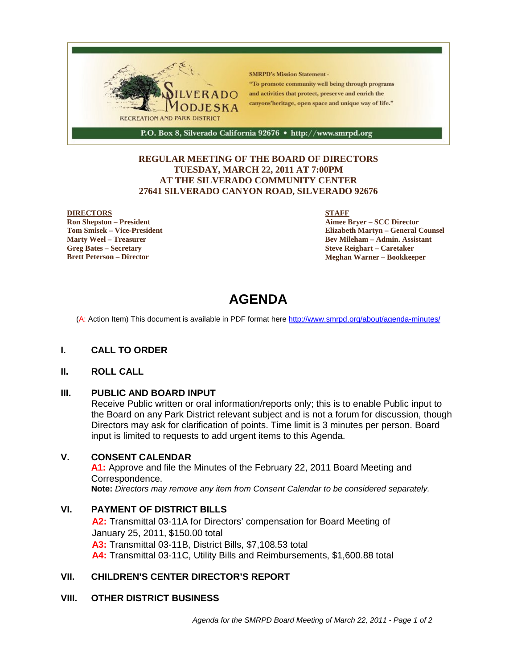

#### **REGULAR MEETING OF THE BOARD OF DIRECTORS TUESDAY, MARCH 22, 2011 AT 7:00PM AT THE SILVERADO COMMUNITY CENTER 27641 SILVERADO CANYON ROAD, SILVERADO 92676**

#### **DIRECTORS**

**Ron Shepston – President Tom Smisek – Vice-President Marty Weel – Treasurer Greg Bates – Secretary Brett Peterson – Director**

#### **STAFF**

**Aimee Bryer – SCC Director Elizabeth Martyn – General Counsel Bev Mileham – Admin. Assistant Steve Reighart – Caretaker Meghan Warner – Bookkeeper**

# **AGENDA**

(A: Action Item) This document is available in PDF format here http://www.smrpd.org/about/agenda-minutes/

#### **I. CALL TO ORDER**

#### **II. ROLL CALL**

#### **III. PUBLIC AND BOARD INPUT**

Receive Public written or oral information/reports only; this is to enable Public input to the Board on any Park District relevant subject and is not a forum for discussion, though Directors may ask for clarification of points. Time limit is 3 minutes per person. Board input is limited to requests to add urgent items to this Agenda.

#### **V. CONSENT CALENDAR**

**A1:** Approve and file the Minutes of the February 22, 2011 Board Meeting and Correspondence. **Note:** *Directors may remove any item from Consent Calendar to be considered separately.*

#### **VI. PAYMENT OF DISTRICT BILLS**

**A2:** Transmittal 03-11A for Directors' compensation for Board Meeting of January 25, 2011, \$150.00 total **A3:** Transmittal 03-11B, District Bills, \$7,108.53 total **A4:** Transmittal 03-11C, Utility Bills and Reimbursements, \$1,600.88 total

# **VII. CHILDREN'S CENTER DIRECTOR'S REPORT**

#### **VIII. OTHER DISTRICT BUSINESS**